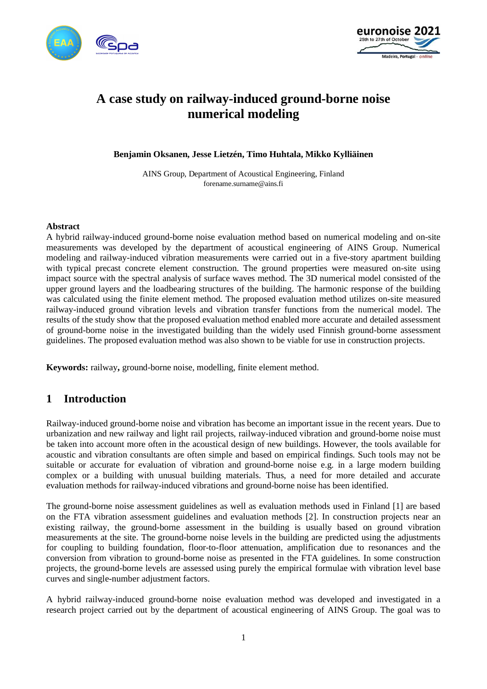



# **A case study on railway-induced ground-borne noise numerical modeling**

**Benjamin Oksanen, Jesse Lietzén, Timo Huhtala, Mikko Kylliäinen**

AINS Group, Department of Acoustical Engineering, Finland forename.surname@ains.fi

#### **Abstract**

A hybrid railway-induced ground-borne noise evaluation method based on numerical modeling and on-site measurements was developed by the department of acoustical engineering of AINS Group. Numerical modeling and railway-induced vibration measurements were carried out in a five-story apartment building with typical precast concrete element construction. The ground properties were measured on-site using impact source with the spectral analysis of surface waves method. The 3D numerical model consisted of the upper ground layers and the loadbearing structures of the building. The harmonic response of the building was calculated using the finite element method. The proposed evaluation method utilizes on-site measured railway-induced ground vibration levels and vibration transfer functions from the numerical model. The results of the study show that the proposed evaluation method enabled more accurate and detailed assessment of ground-borne noise in the investigated building than the widely used Finnish ground-borne assessment guidelines. The proposed evaluation method was also shown to be viable for use in construction projects.

**Keywords:** railway**,** ground-borne noise, modelling, finite element method.

## **1 Introduction**

Railway-induced ground-borne noise and vibration has become an important issue in the recent years. Due to urbanization and new railway and light rail projects, railway-induced vibration and ground-borne noise must be taken into account more often in the acoustical design of new buildings. However, the tools available for acoustic and vibration consultants are often simple and based on empirical findings. Such tools may not be suitable or accurate for evaluation of vibration and ground-borne noise e.g. in a large modern building complex or a building with unusual building materials. Thus, a need for more detailed and accurate evaluation methods for railway-induced vibrations and ground-borne noise has been identified.

The ground-borne noise assessment guidelines as well as evaluation methods used in Finland [1] are based on the FTA vibration assessment guidelines and evaluation methods [2]. In construction projects near an existing railway, the ground-borne assessment in the building is usually based on ground vibration measurements at the site. The ground-borne noise levels in the building are predicted using the adjustments for coupling to building foundation, floor-to-floor attenuation, amplification due to resonances and the conversion from vibration to ground-borne noise as presented in the FTA guidelines. In some construction projects, the ground-borne levels are assessed using purely the empirical formulae with vibration level base curves and single-number adjustment factors.

A hybrid railway-induced ground-borne noise evaluation method was developed and investigated in a research project carried out by the department of acoustical engineering of AINS Group. The goal was to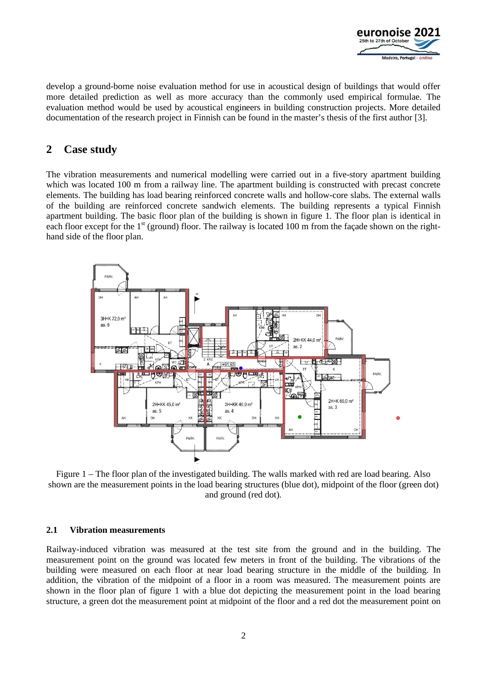

develop a ground-borne noise evaluation method for use in acoustical design of buildings that would offer more detailed prediction as well as more accuracy than the commonly used empirical formulae. The evaluation method would be used by acoustical engineers in building construction projects. More detailed documentation of the research project in Finnish can be found in the master's thesis of the first author [3].

#### **2 Case study**

The vibration measurements and numerical modelling were carried out in a five-story apartment building which was located 100 m from a railway line. The apartment building is constructed with precast concrete elements. The building has load bearing reinforced concrete walls and hollow-core slabs. The external walls of the building are reinforced concrete sandwich elements. The building represents a typical Finnish apartment building. The basic floor plan of the building is shown in figure 1. The floor plan is identical in each floor except for the  $1<sup>st</sup>$  (ground) floor. The railway is located 100 m from the façade shown on the righthand side of the floor plan.



Figure 1 – The floor plan of the investigated building. The walls marked with red are load bearing. Also shown are the measurement points in the load bearing structures (blue dot), midpoint of the floor (green dot) and ground (red dot).

#### **2.1 Vibration measurements**

Railway-induced vibration was measured at the test site from the ground and in the building. The measurement point on the ground was located few meters in front of the building. The vibrations of the building were measured on each floor at near load bearing structure in the middle of the building. In addition, the vibration of the midpoint of a floor in a room was measured. The measurement points are shown in the floor plan of figure 1 with a blue dot depicting the measurement point in the load bearing structure, a green dot the measurement point at midpoint of the floor and a red dot the measurement point on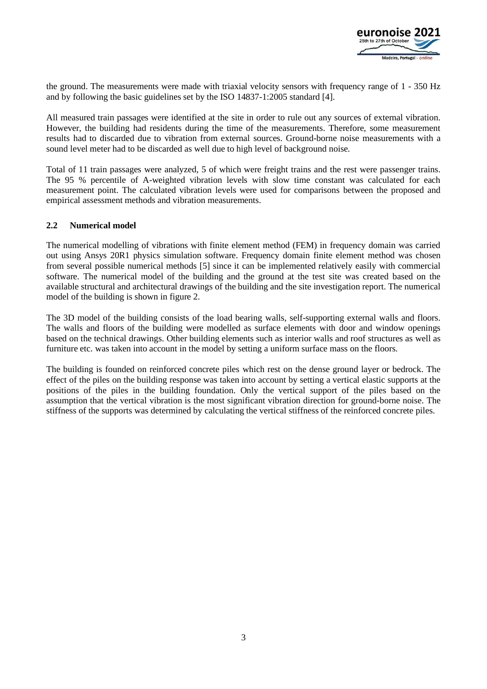

the ground. The measurements were made with triaxial velocity sensors with frequency range of 1 - 350 Hz and by following the basic guidelines set by the ISO 14837-1:2005 standard [4].

All measured train passages were identified at the site in order to rule out any sources of external vibration. However, the building had residents during the time of the measurements. Therefore, some measurement results had to discarded due to vibration from external sources. Ground-borne noise measurements with a sound level meter had to be discarded as well due to high level of background noise.

Total of 11 train passages were analyzed, 5 of which were freight trains and the rest were passenger trains. The 95 % percentile of A-weighted vibration levels with slow time constant was calculated for each measurement point. The calculated vibration levels were used for comparisons between the proposed and empirical assessment methods and vibration measurements.

#### **2.2 Numerical model**

The numerical modelling of vibrations with finite element method (FEM) in frequency domain was carried out using Ansys 20R1 physics simulation software. Frequency domain finite element method was chosen from several possible numerical methods [5] since it can be implemented relatively easily with commercial software. The numerical model of the building and the ground at the test site was created based on the available structural and architectural drawings of the building and the site investigation report. The numerical model of the building is shown in figure 2.

The 3D model of the building consists of the load bearing walls, self-supporting external walls and floors. The walls and floors of the building were modelled as surface elements with door and window openings based on the technical drawings. Other building elements such as interior walls and roof structures as well as furniture etc. was taken into account in the model by setting a uniform surface mass on the floors.

The building is founded on reinforced concrete piles which rest on the dense ground layer or bedrock. The effect of the piles on the building response was taken into account by setting a vertical elastic supports at the positions of the piles in the building foundation. Only the vertical support of the piles based on the assumption that the vertical vibration is the most significant vibration direction for ground-borne noise. The stiffness of the supports was determined by calculating the vertical stiffness of the reinforced concrete piles.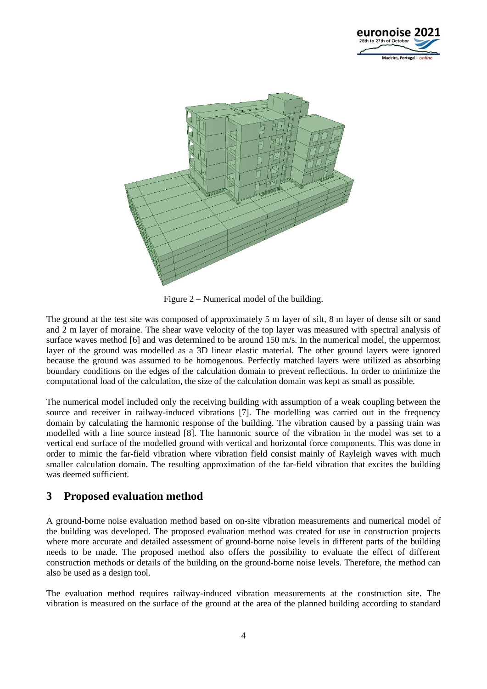



Figure 2 – Numerical model of the building.

The ground at the test site was composed of approximately 5 m layer of silt, 8 m layer of dense silt or sand and 2 m layer of moraine. The shear wave velocity of the top layer was measured with spectral analysis of surface waves method [6] and was determined to be around 150 m/s. In the numerical model, the uppermost layer of the ground was modelled as a 3D linear elastic material. The other ground layers were ignored because the ground was assumed to be homogenous. Perfectly matched layers were utilized as absorbing boundary conditions on the edges of the calculation domain to prevent reflections. In order to minimize the computational load of the calculation, the size of the calculation domain was kept as small as possible.

The numerical model included only the receiving building with assumption of a weak coupling between the source and receiver in railway-induced vibrations [7]. The modelling was carried out in the frequency domain by calculating the harmonic response of the building. The vibration caused by a passing train was modelled with a line source instead [8]. The harmonic source of the vibration in the model was set to a vertical end surface of the modelled ground with vertical and horizontal force components. This was done in order to mimic the far-field vibration where vibration field consist mainly of Rayleigh waves with much smaller calculation domain. The resulting approximation of the far-field vibration that excites the building was deemed sufficient.

## **3 Proposed evaluation method**

A ground-borne noise evaluation method based on on-site vibration measurements and numerical model of the building was developed. The proposed evaluation method was created for use in construction projects where more accurate and detailed assessment of ground-borne noise levels in different parts of the building needs to be made. The proposed method also offers the possibility to evaluate the effect of different construction methods or details of the building on the ground-borne noise levels. Therefore, the method can also be used as a design tool.

The evaluation method requires railway-induced vibration measurements at the construction site. The vibration is measured on the surface of the ground at the area of the planned building according to standard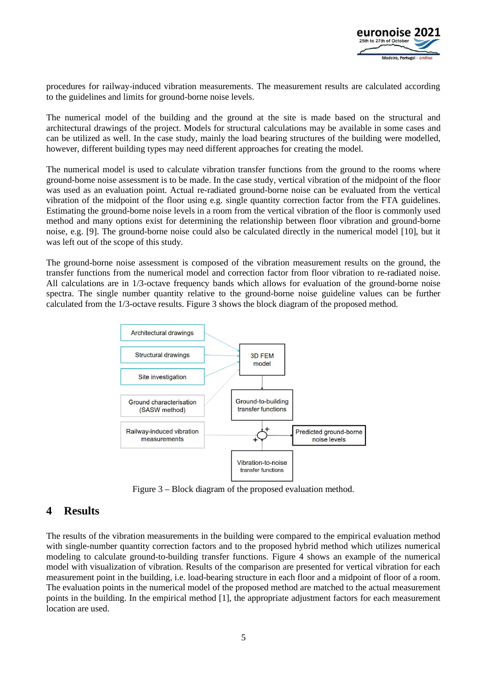

procedures for railway-induced vibration measurements. The measurement results are calculated according to the guidelines and limits for ground-borne noise levels.

The numerical model of the building and the ground at the site is made based on the structural and architectural drawings of the project. Models for structural calculations may be available in some cases and can be utilized as well. In the case study, mainly the load bearing structures of the building were modelled, however, different building types may need different approaches for creating the model.

The numerical model is used to calculate vibration transfer functions from the ground to the rooms where ground-borne noise assessment is to be made. In the case study, vertical vibration of the midpoint of the floor was used as an evaluation point. Actual re-radiated ground-borne noise can be evaluated from the vertical vibration of the midpoint of the floor using e.g. single quantity correction factor from the FTA guidelines. Estimating the ground-borne noise levels in a room from the vertical vibration of the floor is commonly used method and many options exist for determining the relationship between floor vibration and ground-borne noise, e.g. [9]. The ground-borne noise could also be calculated directly in the numerical model [10], but it was left out of the scope of this study.

The ground-borne noise assessment is composed of the vibration measurement results on the ground, the transfer functions from the numerical model and correction factor from floor vibration to re-radiated noise. All calculations are in 1/3-octave frequency bands which allows for evaluation of the ground-borne noise spectra. The single number quantity relative to the ground-borne noise guideline values can be further calculated from the 1/3-octave results. Figure 3 shows the block diagram of the proposed method.



Figure 3 – Block diagram of the proposed evaluation method.

#### **4 Results**

The results of the vibration measurements in the building were compared to the empirical evaluation method with single-number quantity correction factors and to the proposed hybrid method which utilizes numerical modeling to calculate ground-to-building transfer functions. Figure 4 shows an example of the numerical model with visualization of vibration. Results of the comparison are presented for vertical vibration for each measurement point in the building, i.e. load-bearing structure in each floor and a midpoint of floor of a room. The evaluation points in the numerical model of the proposed method are matched to the actual measurement points in the building. In the empirical method [1], the appropriate adjustment factors for each measurement location are used.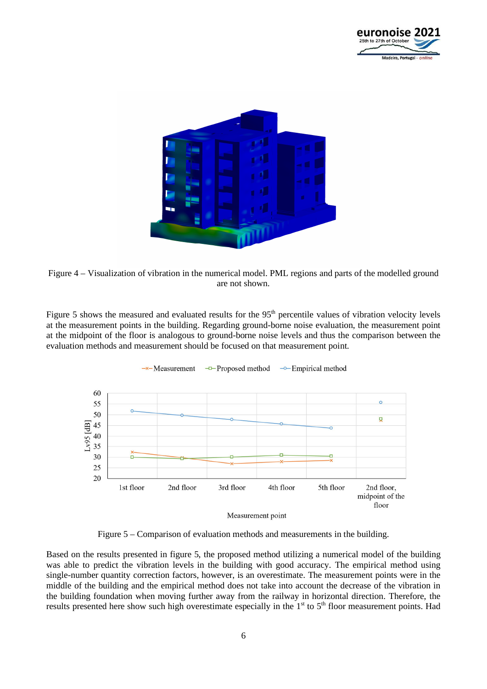



Figure 4 – Visualization of vibration in the numerical model. PML regions and parts of the modelled ground are not shown.

Figure 5 shows the measured and evaluated results for the 95<sup>th</sup> percentile values of vibration velocity levels at the measurement points in the building. Regarding ground-borne noise evaluation, the measurement point at the midpoint of the floor is analogous to ground-borne noise levels and thus the comparison between the evaluation methods and measurement should be focused on that measurement point.



Figure 5 – Comparison of evaluation methods and measurements in the building.

Based on the results presented in figure 5, the proposed method utilizing a numerical model of the building was able to predict the vibration levels in the building with good accuracy. The empirical method using single-number quantity correction factors, however, is an overestimate. The measurement points were in the middle of the building and the empirical method does not take into account the decrease of the vibration in the building foundation when moving further away from the railway in horizontal direction. Therefore, the results presented here show such high overestimate especially in the  $1<sup>st</sup>$  to  $5<sup>th</sup>$  floor measurement points. Had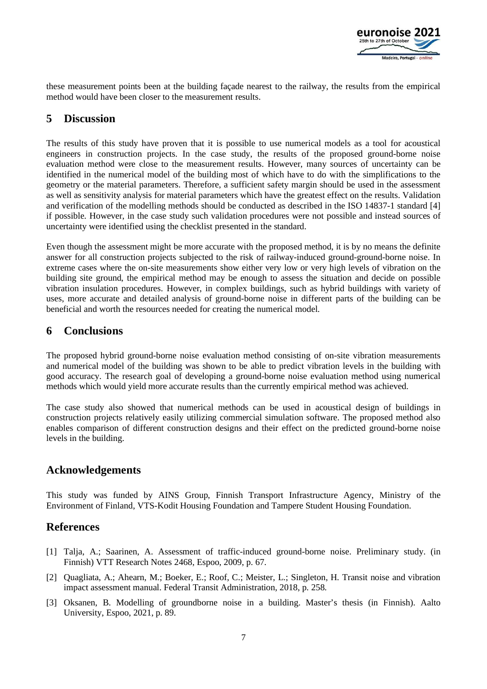

these measurement points been at the building façade nearest to the railway, the results from the empirical method would have been closer to the measurement results.

## **5 Discussion**

The results of this study have proven that it is possible to use numerical models as a tool for acoustical engineers in construction projects. In the case study, the results of the proposed ground-borne noise evaluation method were close to the measurement results. However, many sources of uncertainty can be identified in the numerical model of the building most of which have to do with the simplifications to the geometry or the material parameters. Therefore, a sufficient safety margin should be used in the assessment as well as sensitivity analysis for material parameters which have the greatest effect on the results. Validation and verification of the modelling methods should be conducted as described in the ISO 14837-1 standard [4] if possible. However, in the case study such validation procedures were not possible and instead sources of uncertainty were identified using the checklist presented in the standard.

Even though the assessment might be more accurate with the proposed method, it is by no means the definite answer for all construction projects subjected to the risk of railway-induced ground-ground-borne noise. In extreme cases where the on-site measurements show either very low or very high levels of vibration on the building site ground, the empirical method may be enough to assess the situation and decide on possible vibration insulation procedures. However, in complex buildings, such as hybrid buildings with variety of uses, more accurate and detailed analysis of ground-borne noise in different parts of the building can be beneficial and worth the resources needed for creating the numerical model.

## **6 Conclusions**

The proposed hybrid ground-borne noise evaluation method consisting of on-site vibration measurements and numerical model of the building was shown to be able to predict vibration levels in the building with good accuracy. The research goal of developing a ground-borne noise evaluation method using numerical methods which would yield more accurate results than the currently empirical method was achieved.

The case study also showed that numerical methods can be used in acoustical design of buildings in construction projects relatively easily utilizing commercial simulation software. The proposed method also enables comparison of different construction designs and their effect on the predicted ground-borne noise levels in the building.

## **Acknowledgements**

This study was funded by AINS Group, Finnish Transport Infrastructure Agency, Ministry of the Environment of Finland, VTS-Kodit Housing Foundation and Tampere Student Housing Foundation.

# **References**

- [1] Talja, A.; Saarinen, A. Assessment of traffic-induced ground-borne noise. Preliminary study. (in Finnish) VTT Research Notes 2468, Espoo, 2009, p. 67.
- [2] Quagliata, A.; Ahearn, M.; Boeker, E.; Roof, C.; Meister, L.; Singleton, H. Transit noise and vibration impact assessment manual. Federal Transit Administration, 2018, p. 258.
- [3] Oksanen, B. Modelling of groundborne noise in a building. Master's thesis (in Finnish). Aalto University, Espoo, 2021, p. 89.